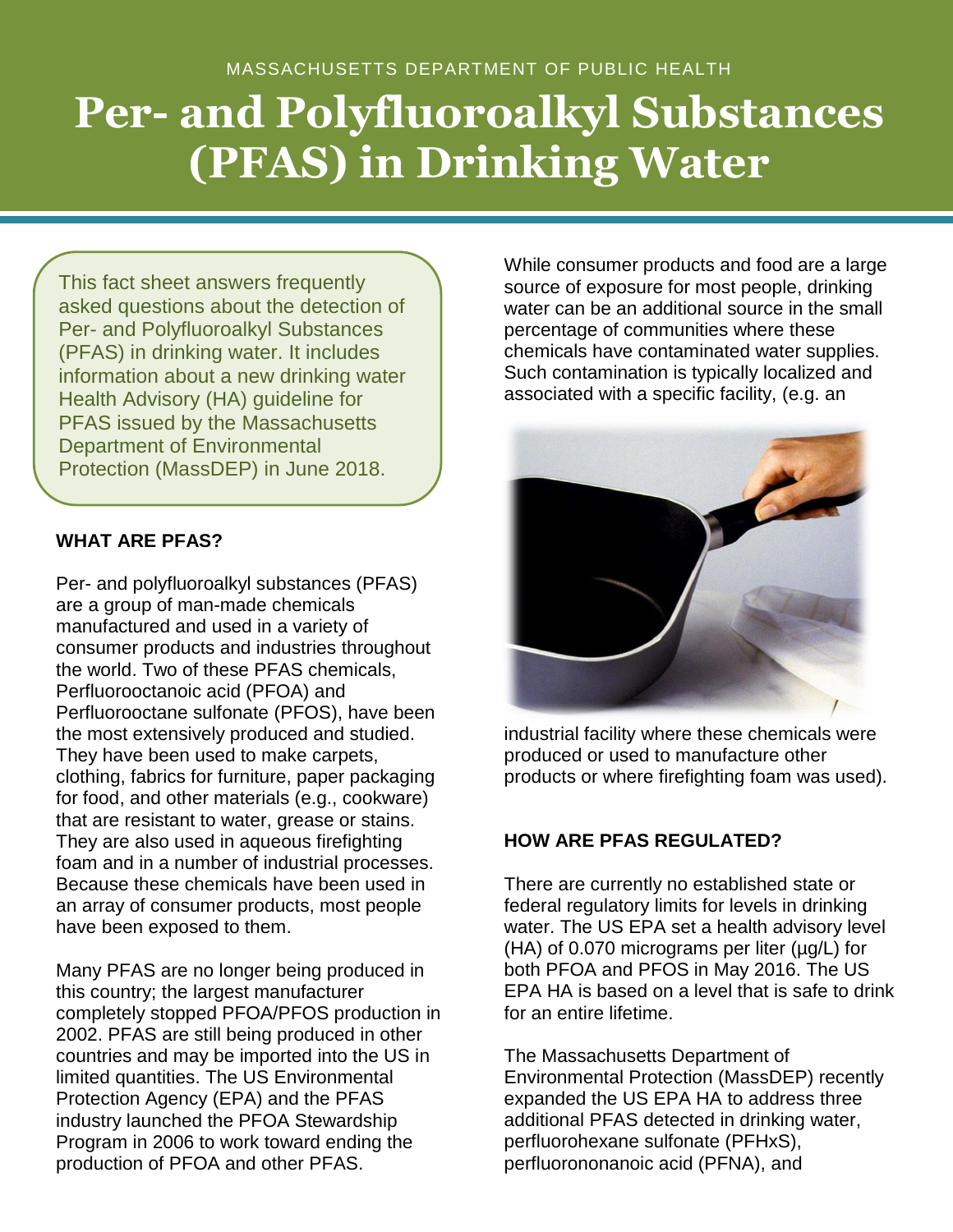# **Per- and Polyfluoroalkyl Substances (PFAS) in Drinking Water**

This fact sheet answers frequently asked questions about the detection of Per- and Polyfluoroalkyl Substances (PFAS) in drinking water. It includes information about a new drinking water Health Advisory (HA) guideline for PFAS issued by the Massachusetts Department of Environmental Protection (MassDEP) in June 2018.

## **WHAT ARE PFAS?**

Per- and polyfluoroalkyl substances (PFAS) are a group of man-made chemicals manufactured and used in a variety of consumer products and industries throughout the world. Two of these PFAS chemicals, Perfluorooctanoic acid (PFOA) and Perfluorooctane sulfonate (PFOS), have been the most extensively produced and studied. They have been used to make carpets, clothing, fabrics for furniture, paper packaging for food, and other materials (e.g., cookware) that are resistant to water, grease or stains. They are also used in aqueous firefighting foam and in a number of industrial processes. Because these chemicals have been used in an array of consumer products, most people have been exposed to them.

Many PFAS are no longer being produced in this country; the largest manufacturer completely stopped PFOA/PFOS production in 2002. PFAS are still being produced in other countries and may be imported into the US in limited quantities. The US Environmental Protection Agency (EPA) and the PFAS industry launched the PFOA Stewardship Program in 2006 to work toward ending the production of PFOA and other PFAS.

While consumer products and food are a large source of exposure for most people, drinking water can be an additional source in the small percentage of communities where these chemicals have contaminated water supplies. Such contamination is typically localized and associated with a specific facility, (e.g. an



industrial facility where these chemicals were produced or used to manufacture other products or where firefighting foam was used).

# **HOW ARE PFAS REGULATED?**

There are currently no established state or federal regulatory limits for levels in drinking water. The US EPA set a health advisory level (HA) of 0.070 micrograms per liter (µg/L) for both PFOA and PFOS in May 2016. The US EPA HA is based on a level that is safe to drink for an entire lifetime.

The Massachusetts Department of Environmental Protection (MassDEP) recently expanded the US EPA HA to address three additional PFAS detected in drinking water, perfluorohexane sulfonate (PFHxS), perfluorononanoic acid (PFNA), and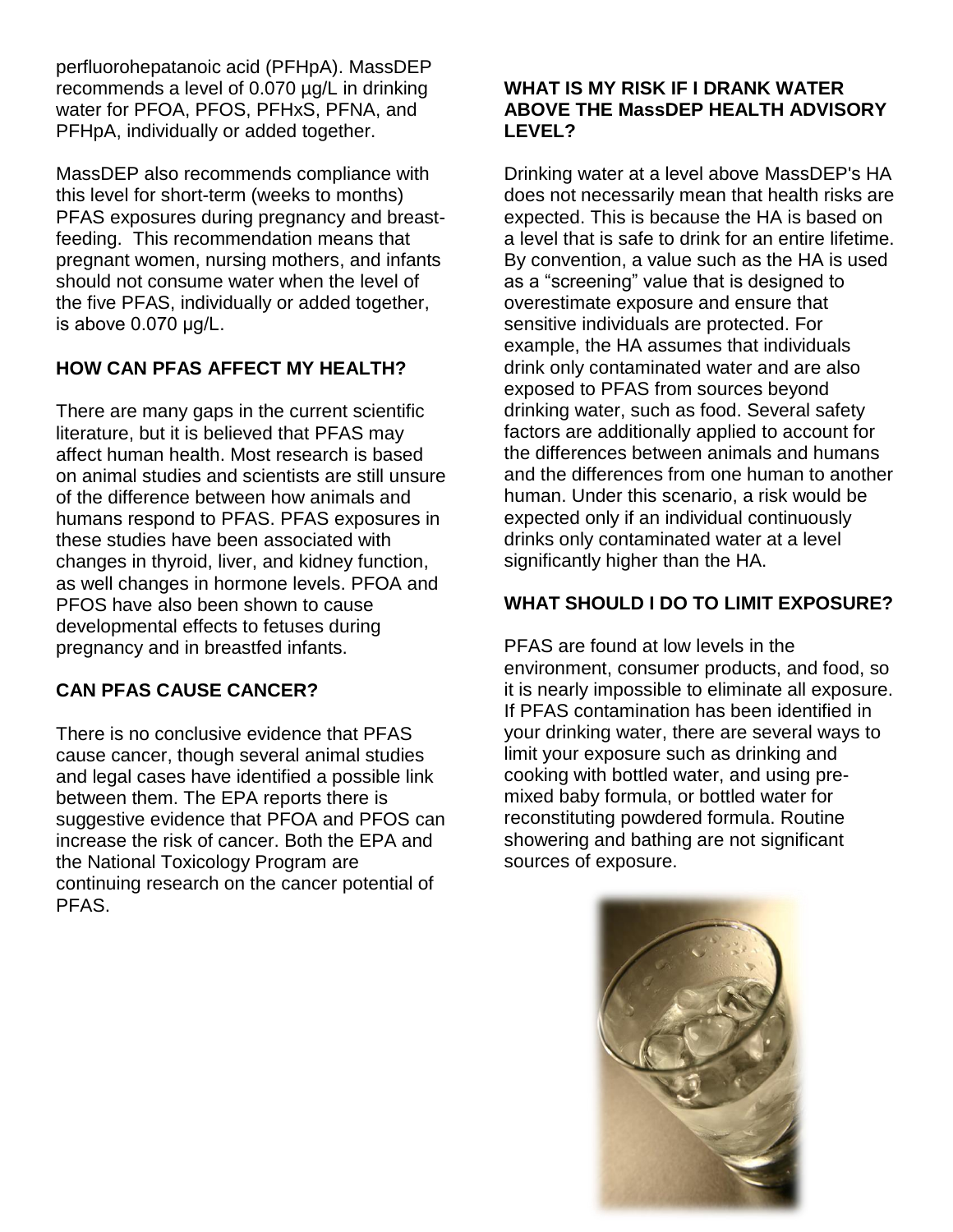perfluorohepatanoic acid (PFHpA). MassDEP recommends a level of 0.070 µg/L in drinking water for PFOA, PFOS, PFHxS, PFNA, and PFHpA, individually or added together.

MassDEP also recommends compliance with this level for short-term (weeks to months) PFAS exposures during pregnancy and breastfeeding. This recommendation means that pregnant women, nursing mothers, and infants should not consume water when the level of the five PFAS, individually or added together, is above 0.070 μg/L.

## **HOW CAN PFAS AFFECT MY HEALTH?**

There are many gaps in the current scientific literature, but it is believed that PFAS may affect human health. Most research is based on animal studies and scientists are still unsure of the difference between how animals and humans respond to PFAS. PFAS exposures in these studies have been associated with changes in thyroid, liver, and kidney function, as well changes in hormone levels. PFOA and PFOS have also been shown to cause developmental effects to fetuses during pregnancy and in breastfed infants.

# **CAN PFAS CAUSE CANCER?**

There is no conclusive evidence that PFAS cause cancer, though several animal studies and legal cases have identified a possible link between them. The EPA reports there is suggestive evidence that PFOA and PFOS can increase the risk of cancer. Both the EPA and the National Toxicology Program are continuing research on the cancer potential of PFAS.

#### **WHAT IS MY RISK IF I DRANK WATER ABOVE THE MassDEP HEALTH ADVISORY LEVEL?**

Drinking water at a level above MassDEP's HA does not necessarily mean that health risks are expected. This is because the HA is based on a level that is safe to drink for an entire lifetime. By convention, a value such as the HA is used as a "screening" value that is designed to overestimate exposure and ensure that sensitive individuals are protected. For example, the HA assumes that individuals drink only contaminated water and are also exposed to PFAS from sources beyond drinking water, such as food. Several safety factors are additionally applied to account for the differences between animals and humans and the differences from one human to another human. Under this scenario, a risk would be expected only if an individual continuously drinks only contaminated water at a level significantly higher than the HA.

# **WHAT SHOULD I DO TO LIMIT EXPOSURE?**

PFAS are found at low levels in the environment, consumer products, and food, so it is nearly impossible to eliminate all exposure. If PFAS contamination has been identified in your drinking water, there are several ways to limit your exposure such as drinking and cooking with bottled water, and using premixed baby formula, or bottled water for reconstituting powdered formula. Routine showering and bathing are not significant sources of exposure.